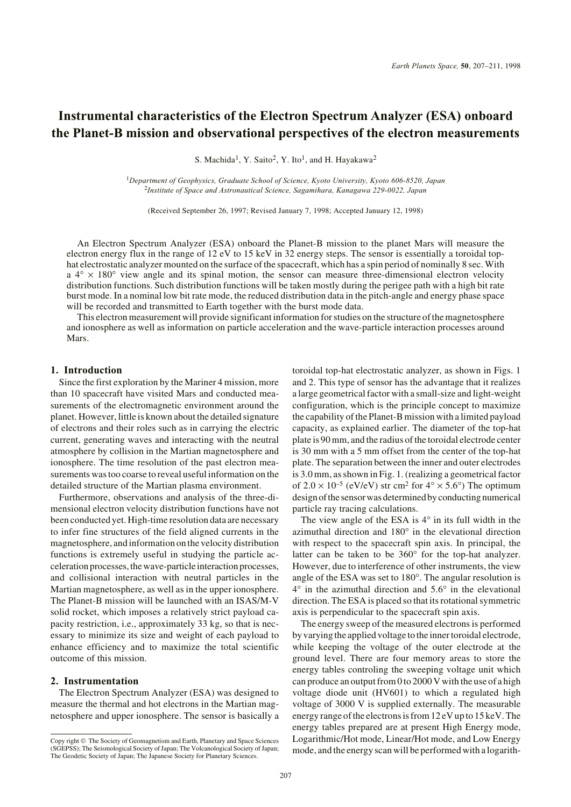# **Instrumental characteristics of the Electron Spectrum Analyzer (ESA) onboard the Planet-B mission and observational perspectives of the electron measurements**

S. Machida<sup>1</sup>, Y. Saito<sup>2</sup>, Y. Ito<sup>1</sup>, and H. Hayakawa<sup>2</sup>

<sup>1</sup>*Department of Geophysics, Graduate School of Science, Kyoto University, Kyoto 606-8520, Japan* <sup>2</sup>*Institute of Space and Astronautical Science, Sagamihara, Kanagawa 229-0022, Japan*

(Received September 26, 1997; Revised January 7, 1998; Accepted January 12, 1998)

An Electron Spectrum Analyzer (ESA) onboard the Planet-B mission to the planet Mars will measure the electron energy flux in the range of 12 eV to 15 keV in 32 energy steps. The sensor is essentially a toroidal tophat electrostatic analyzer mounted on the surface of the spacecraft, which has a spin period of nominally 8 sec. With  $a^{4} \times 180^{\circ}$  view angle and its spinal motion, the sensor can measure three-dimensional electron velocity distribution functions. Such distribution functions will be taken mostly during the perigee path with a high bit rate burst mode. In a nominal low bit rate mode, the reduced distribution data in the pitch-angle and energy phase space will be recorded and transmitted to Earth together with the burst mode data.

This electron measurement will provide significant information for studies on the structure of the magnetosphere and ionosphere as well as information on particle acceleration and the wave-particle interaction processes around Mars.

#### **1. Introduction**

Since the first exploration by the Mariner 4 mission, more than 10 spacecraft have visited Mars and conducted measurements of the electromagnetic environment around the planet. However, little is known about the detailed signature of electrons and their roles such as in carrying the electric current, generating waves and interacting with the neutral atmosphere by collision in the Martian magnetosphere and ionosphere. The time resolution of the past electron measurements was too coarse to reveal useful information on the detailed structure of the Martian plasma environment.

Furthermore, observations and analysis of the three-dimensional electron velocity distribution functions have not been conducted yet. High-time resolution data are necessary to infer fine structures of the field aligned currents in the magnetosphere, and information on the velocity distribution functions is extremely useful in studying the particle acceleration processes, the wave-particle interaction processes, and collisional interaction with neutral particles in the Martian magnetosphere, as well as in the upper ionosphere. The Planet-B mission will be launched with an ISAS/M-V solid rocket, which imposes a relatively strict payload capacity restriction, i.e., approximately 33 kg, so that is necessary to minimize its size and weight of each payload to enhance efficiency and to maximize the total scientific outcome of this mission.

### **2. Instrumentation**

The Electron Spectrum Analyzer (ESA) was designed to measure the thermal and hot electrons in the Martian magnetosphere and upper ionosphere. The sensor is basically a toroidal top-hat electrostatic analyzer, as shown in Figs. 1 and 2. This type of sensor has the advantage that it realizes a large geometrical factor with a small-size and light-weight configuration, which is the principle concept to maximize the capability of the Planet-B mission with a limited payload capacity, as explained earlier. The diameter of the top-hat plate is 90 mm, and the radius of the toroidal electrode center is 30 mm with a 5 mm offset from the center of the top-hat plate. The separation between the inner and outer electrodes is 3.0 mm, as shown in Fig. 1. (realizing a geometrical factor of  $2.0 \times 10^{-5}$  (eV/eV) str cm<sup>2</sup> for  $4^{\circ} \times 5.6^{\circ}$ ) The optimum design of the sensor was determined by conducting numerical particle ray tracing calculations.

The view angle of the ESA is  $4^\circ$  in its full width in the azimuthal direction and 180° in the elevational direction with respect to the spacecraft spin axis. In principal, the latter can be taken to be 360° for the top-hat analyzer. However, due to interference of other instruments, the view angle of the ESA was set to 180°. The angular resolution is 4° in the azimuthal direction and 5.6° in the elevational direction. The ESA is placed so that its rotational symmetric axis is perpendicular to the spacecraft spin axis.

The energy sweep of the measured electrons is performed by varying the applied voltage to the inner toroidal electrode, while keeping the voltage of the outer electrode at the ground level. There are four memory areas to store the energy tables controling the sweeping voltage unit which can produce an output from 0 to 2000 V with the use of a high voltage diode unit (HV601) to which a regulated high voltage of 3000 V is supplied externally. The measurable energy range of the electrons is from 12 eV up to 15 keV. The energy tables prepared are at present High Energy mode, Logarithmic/Hot mode, Linear/Hot mode, and Low Energy mode, and the energy scan will be performed with a logarith-

Copy right © The Society of Geomagnetism and Earth, Planetary and Space Sciences (SGEPSS); The Seismological Society of Japan; The Volcanological Society of Japan; The Geodetic Society of Japan; The Japanese Society for Planetary Sciences.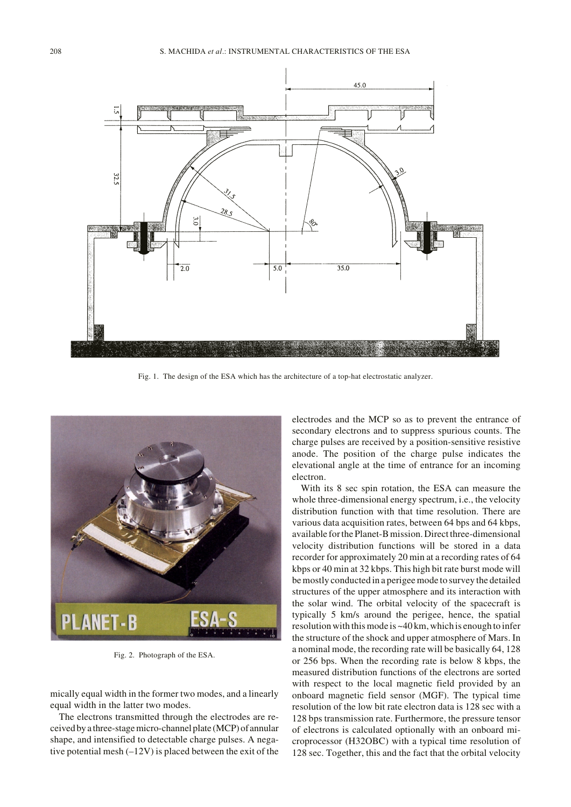

Fig. 1. The design of the ESA which has the architecture of a top-hat electrostatic analyzer.



Fig. 2. Photograph of the ESA.

mically equal width in the former two modes, and a linearly equal width in the latter two modes.

The electrons transmitted through the electrodes are received by a three-stage micro-channel plate (MCP) of annular shape, and intensified to detectable charge pulses. A negative potential mesh  $(-12V)$  is placed between the exit of the electrodes and the MCP so as to prevent the entrance of secondary electrons and to suppress spurious counts. The charge pulses are received by a position-sensitive resistive anode. The position of the charge pulse indicates the elevational angle at the time of entrance for an incoming electron.

With its 8 sec spin rotation, the ESA can measure the whole three-dimensional energy spectrum, i.e., the velocity distribution function with that time resolution. There are various data acquisition rates, between 64 bps and 64 kbps, available for the Planet-B mission. Direct three-dimensional velocity distribution functions will be stored in a data recorder for approximately 20 min at a recording rates of 64 kbps or 40 min at 32 kbps. This high bit rate burst mode will be mostly conducted in a perigee mode to survey the detailed structures of the upper atmosphere and its interaction with the solar wind. The orbital velocity of the spacecraft is typically 5 km/s around the perigee, hence, the spatial resolution with this mode is ~40 km, which is enough to infer the structure of the shock and upper atmosphere of Mars. In a nominal mode, the recording rate will be basically 64, 128 or 256 bps. When the recording rate is below 8 kbps, the measured distribution functions of the electrons are sorted with respect to the local magnetic field provided by an onboard magnetic field sensor (MGF). The typical time resolution of the low bit rate electron data is 128 sec with a 128 bps transmission rate. Furthermore, the pressure tensor of electrons is calculated optionally with an onboard microprocessor (H32OBC) with a typical time resolution of 128 sec. Together, this and the fact that the orbital velocity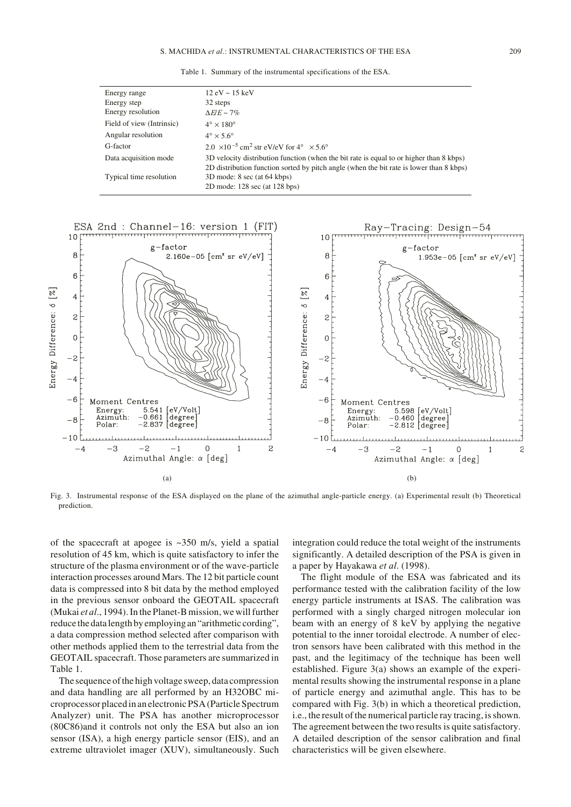Table 1. Summary of the instrumental specifications of the ESA.

| Energy range              | $12 \text{ eV} \sim 15 \text{ keV}$                                                     |
|---------------------------|-----------------------------------------------------------------------------------------|
| Energy step               | 32 steps                                                                                |
| Energy resolution         | $\Delta E/E \sim 7\%$                                                                   |
| Field of view (Intrinsic) | $4^\circ \times 180^\circ$                                                              |
| Angular resolution        | $4^\circ \times 5.6^\circ$                                                              |
| G-factor                  | 2.0 $\times$ 10 <sup>-5</sup> cm <sup>2</sup> str eV/eV for 4° $\times$ 5.6°            |
| Data acquisition mode     | 3D velocity distribution function (when the bit rate is equal to or higher than 8 kbps) |
|                           | 2D distribution function sorted by pitch angle (when the bit rate is lower than 8 kbps) |
| Typical time resolution   | 3D mode: 8 sec (at 64 kbps)                                                             |
|                           | 2D mode: 128 sec (at 128 bps)                                                           |



Fig. 3. Instrumental response of the ESA displayed on the plane of the azimuthal angle-particle energy. (a) Experimental result (b) Theoretical prediction.

of the spacecraft at apogee is ~350 m/s, yield a spatial resolution of 45 km, which is quite satisfactory to infer the structure of the plasma environment or of the wave-particle interaction processes around Mars. The 12 bit particle count data is compressed into 8 bit data by the method employed in the previous sensor onboard the GEOTAIL spacecraft (Mukai *et al*., 1994). In the Planet-B mission, we will further reduce the data length by employing an "arithmetic cording", a data compression method selected after comparison with other methods applied them to the terrestrial data from the GEOTAIL spacecraft. Those parameters are summarized in Table 1.

The sequence of the high voltage sweep, data compression and data handling are all performed by an H32OBC microprocessor placed in an electronic PSA (Particle Spectrum Analyzer) unit. The PSA has another microprocessor (80C86)and it controls not only the ESA but also an ion sensor (ISA), a high energy particle sensor (EIS), and an extreme ultraviolet imager (XUV), simultaneously. Such integration could reduce the total weight of the instruments significantly. A detailed description of the PSA is given in a paper by Hayakawa *et al*. (1998).

The flight module of the ESA was fabricated and its performance tested with the calibration facility of the low energy particle instruments at ISAS. The calibration was performed with a singly charged nitrogen molecular ion beam with an energy of 8 keV by applying the negative potential to the inner toroidal electrode. A number of electron sensors have been calibrated with this method in the past, and the legitimacy of the technique has been well established. Figure 3(a) shows an example of the experimental results showing the instrumental response in a plane of particle energy and azimuthal angle. This has to be compared with Fig. 3(b) in which a theoretical prediction, i.e., the result of the numerical particle ray tracing, is shown. The agreement between the two results is quite satisfactory. A detailed description of the sensor calibration and final characteristics will be given elsewhere.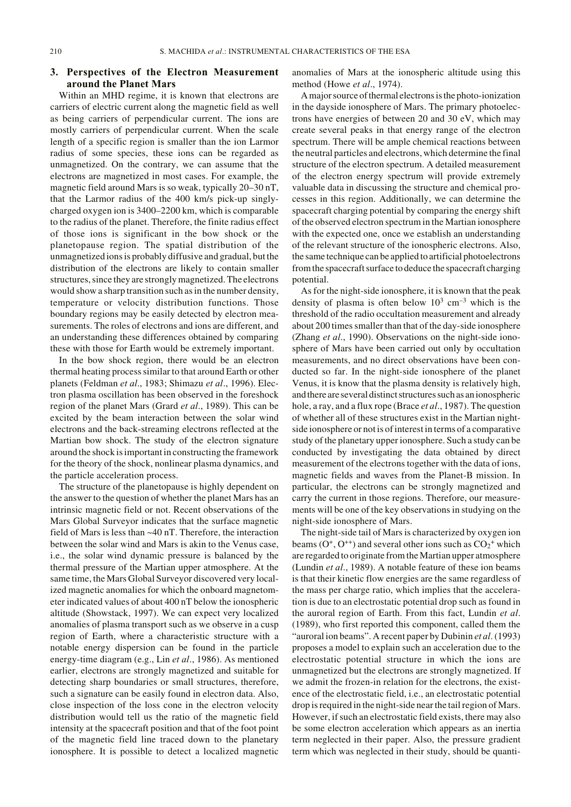# **3. Perspectives of the Electron Measurement around the Planet Mars**

Within an MHD regime, it is known that electrons are carriers of electric current along the magnetic field as well as being carriers of perpendicular current. The ions are mostly carriers of perpendicular current. When the scale length of a specific region is smaller than the ion Larmor radius of some species, these ions can be regarded as unmagnetized. On the contrary, we can assume that the electrons are magnetized in most cases. For example, the magnetic field around Mars is so weak, typically 20–30 nT, that the Larmor radius of the 400 km/s pick-up singlycharged oxygen ion is 3400–2200 km, which is comparable to the radius of the planet. Therefore, the finite radius effect of those ions is significant in the bow shock or the planetopause region. The spatial distribution of the unmagnetized ions is probably diffusive and gradual, but the distribution of the electrons are likely to contain smaller structures, since they are strongly magnetized. The electrons would show a sharp transition such as in the number density, temperature or velocity distribution functions. Those boundary regions may be easily detected by electron measurements. The roles of electrons and ions are different, and an understanding these differences obtained by comparing these with those for Earth would be extremely important.

In the bow shock region, there would be an electron thermal heating process similar to that around Earth or other planets (Feldman *et al*., 1983; Shimazu *et al*., 1996). Electron plasma oscillation has been observed in the foreshock region of the planet Mars (Grard *et al*., 1989). This can be excited by the beam interaction between the solar wind electrons and the back-streaming electrons reflected at the Martian bow shock. The study of the electron signature around the shock is important in constructing the framework for the theory of the shock, nonlinear plasma dynamics, and the particle acceleration process.

The structure of the planetopause is highly dependent on the answer to the question of whether the planet Mars has an intrinsic magnetic field or not. Recent observations of the Mars Global Surveyor indicates that the surface magnetic field of Mars is less than ~40 nT. Therefore, the interaction between the solar wind and Mars is akin to the Venus case, i.e., the solar wind dynamic pressure is balanced by the thermal pressure of the Martian upper atmosphere. At the same time, the Mars Global Surveyor discovered very localized magnetic anomalies for which the onboard magnetometer indicated values of about 400 nT below the ionospheric altitude (Showstack, 1997). We can expect very localized anomalies of plasma transport such as we observe in a cusp region of Earth, where a characteristic structure with a notable energy dispersion can be found in the particle energy-time diagram (e.g., Lin *et al*., 1986). As mentioned earlier, electrons are strongly magnetized and suitable for detecting sharp boundaries or small structures, therefore, such a signature can be easily found in electron data. Also, close inspection of the loss cone in the electron velocity distribution would tell us the ratio of the magnetic field intensity at the spacecraft position and that of the foot point of the magnetic field line traced down to the planetary ionosphere. It is possible to detect a localized magnetic

anomalies of Mars at the ionospheric altitude using this method (Howe *et al*., 1974).

A major source of thermal electrons is the photo-ionization in the dayside ionosphere of Mars. The primary photoelectrons have energies of between 20 and 30 eV, which may create several peaks in that energy range of the electron spectrum. There will be ample chemical reactions between the neutral particles and electrons, which determine the final structure of the electron spectrum. A detailed measurement of the electron energy spectrum will provide extremely valuable data in discussing the structure and chemical processes in this region. Additionally, we can determine the spacecraft charging potential by comparing the energy shift of the observed electron spectrum in the Martian ionosphere with the expected one, once we establish an understanding of the relevant structure of the ionospheric electrons. Also, the same technique can be applied to artificial photoelectrons from the spacecraft surface to deduce the spacecraft charging potential.

As for the night-side ionosphere, it is known that the peak density of plasma is often below  $10^3$  cm<sup>-3</sup> which is the threshold of the radio occultation measurement and already about 200 times smaller than that of the day-side ionosphere (Zhang *et al*., 1990). Observations on the night-side ionosphere of Mars have been carried out only by occultation measurements, and no direct observations have been conducted so far. In the night-side ionosphere of the planet Venus, it is know that the plasma density is relatively high, and there are several distinct structures such as an ionospheric hole, a ray, and a flux rope (Brace *et al*., 1987). The question of whether all of these structures exist in the Martian nightside ionosphere or not is of interest in terms of a comparative study of the planetary upper ionosphere. Such a study can be conducted by investigating the data obtained by direct measurement of the electrons together with the data of ions, magnetic fields and waves from the Planet-B mission. In particular, the electrons can be strongly magnetized and carry the current in those regions. Therefore, our measurements will be one of the key observations in studying on the night-side ionosphere of Mars.

The night-side tail of Mars is characterized by oxygen ion beams  $(O<sup>+</sup>, O<sup>++</sup>)$  and several other ions such as  $CO<sub>2</sub><sup>+</sup>$  which are regarded to originate from the Martian upper atmosphere (Lundin *et al*., 1989). A notable feature of these ion beams is that their kinetic flow energies are the same regardless of the mass per charge ratio, which implies that the acceleration is due to an electrostatic potential drop such as found in the auroral region of Earth. From this fact, Lundin *et al*. (1989), who first reported this component, called them the "auroral ion beams". A recent paper by Dubinin *et al*. (1993) proposes a model to explain such an acceleration due to the electrostatic potential structure in which the ions are unmagnetized but the electrons are strongly magnetized. If we admit the frozen-in relation for the electrons, the existence of the electrostatic field, i.e., an electrostatic potential drop is required in the night-side near the tail region of Mars. However, if such an electrostatic field exists, there may also be some electron acceleration which appears as an inertia term neglected in their paper. Also, the pressure gradient term which was neglected in their study, should be quanti